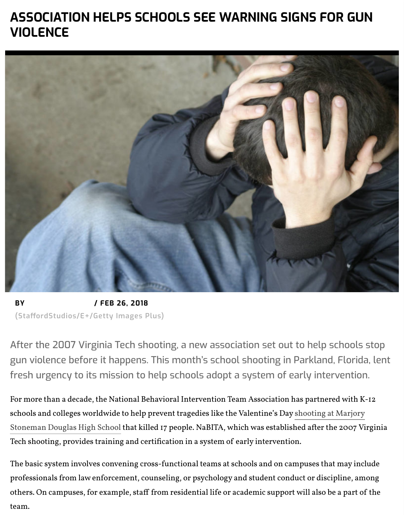

**BY** / FEB 26, 2018 **(StafordStudios/E+/Getty Images Plus)**

After the 2007 Virginia Tech shooting, a new association set out to l gun violence before it happens. This month's school shooting in Par fresh urgency to its mission to help schools adopt a system of early

For more than a decade, the National Behavioral Intervention Team Association has p scho[ols and colleges wo](https://associationsnow.com/author/emily-bratcher/)rldwide to help prevent tragedies like the Valentine's Day shoot Stoneman Douglas High School that killed 17 people. NaBITA, which was established a Tech shooting, provides training and certifcation in a system of early intervention.

The basic system involves convening cross-functional teams at schools and on campu professionals from law enforcement, counseling, or psychology and student conduct or others. On campuses, for example, staff from residential life or academic support will team.